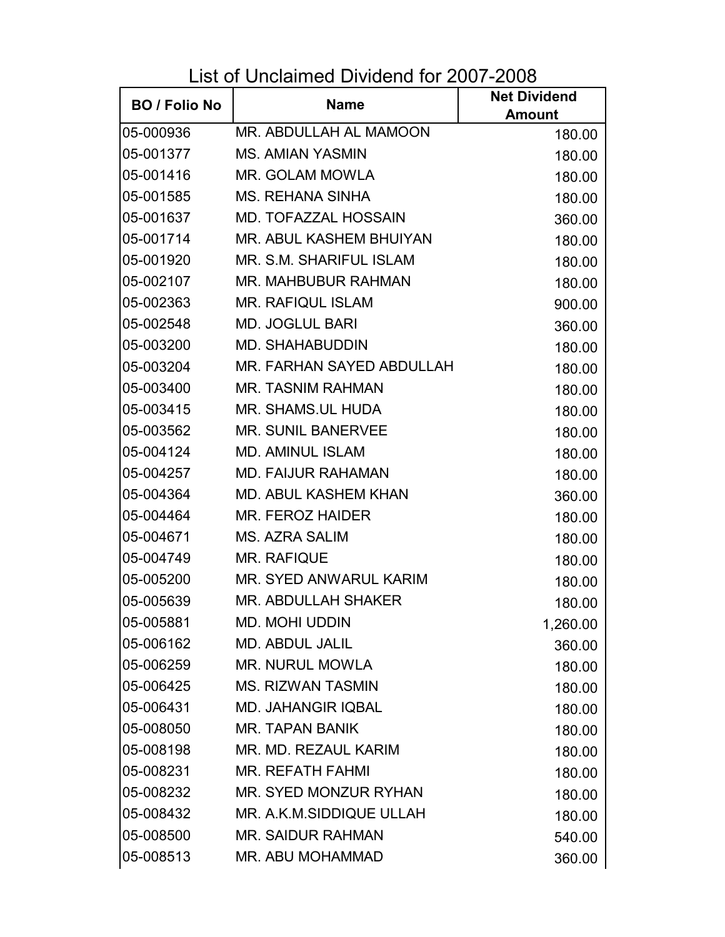List of Unclaimed Dividend for 2007-2008

| <b>BO</b> / Folio No | <b>Name</b>                 | <b>Net Dividend</b> |
|----------------------|-----------------------------|---------------------|
|                      |                             | <b>Amount</b>       |
| 05-000936            | MR. ABDULLAH AL MAMOON      | 180.00              |
| 05-001377            | <b>MS. AMIAN YASMIN</b>     | 180.00              |
| 05-001416            | MR. GOLAM MOWLA             | 180.00              |
| 05-001585            | <b>MS. REHANA SINHA</b>     | 180.00              |
| 05-001637            | MD. TOFAZZAL HOSSAIN        | 360.00              |
| 05-001714            | MR. ABUL KASHEM BHUIYAN     | 180.00              |
| 05-001920            | MR. S.M. SHARIFUL ISLAM     | 180.00              |
| 05-002107            | MR. MAHBUBUR RAHMAN         | 180.00              |
| 05-002363            | <b>MR. RAFIQUL ISLAM</b>    | 900.00              |
| 05-002548            | <b>MD. JOGLUL BARI</b>      | 360.00              |
| 05-003200            | <b>MD. SHAHABUDDIN</b>      | 180.00              |
| 05-003204            | MR. FARHAN SAYED ABDULLAH   | 180.00              |
| 05-003400            | <b>MR. TASNIM RAHMAN</b>    | 180.00              |
| 05-003415            | MR. SHAMS.UL HUDA           | 180.00              |
| 05-003562            | <b>MR. SUNIL BANERVEE</b>   | 180.00              |
| 05-004124            | <b>MD. AMINUL ISLAM</b>     | 180.00              |
| 05-004257            | <b>MD. FAIJUR RAHAMAN</b>   | 180.00              |
| 05-004364            | <b>MD. ABUL KASHEM KHAN</b> | 360.00              |
| 05-004464            | MR. FEROZ HAIDER            | 180.00              |
| 05-004671            | MS. AZRA SALIM              | 180.00              |
| 05-004749            | <b>MR. RAFIQUE</b>          | 180.00              |
| 05-005200            | MR. SYED ANWARUL KARIM      | 180.00              |
| 05-005639            | <b>MR. ABDULLAH SHAKER</b>  | 180.00              |
| 05-005881            | <b>MD. MOHI UDDIN</b>       | 1,260.00            |
| 05-006162            | <b>MD. ABDUL JALIL</b>      | 360.00              |
| 05-006259            | <b>MR. NURUL MOWLA</b>      | 180.00              |
| 05-006425            | <b>MS. RIZWAN TASMIN</b>    | 180.00              |
| 05-006431            | <b>MD. JAHANGIR IQBAL</b>   | 180.00              |
| 05-008050            | <b>MR. TAPAN BANIK</b>      | 180.00              |
| 05-008198            | MR. MD. REZAUL KARIM        | 180.00              |
| 05-008231            | <b>MR. REFATH FAHMI</b>     | 180.00              |
| 05-008232            | MR. SYED MONZUR RYHAN       | 180.00              |
| 05-008432            | MR. A.K.M.SIDDIQUE ULLAH    | 180.00              |
| 05-008500            | <b>MR. SAIDUR RAHMAN</b>    | 540.00              |
| 05-008513            | MR. ABU MOHAMMAD            | 360.00              |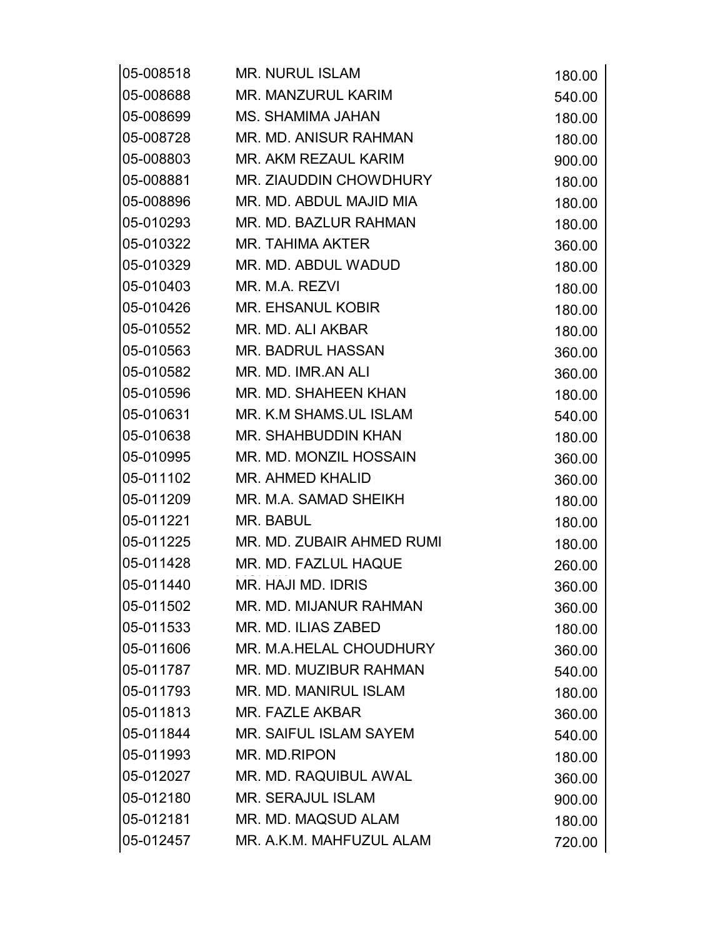| 05-008518 | <b>MR. NURUL ISLAM</b>        | 180.00 |
|-----------|-------------------------------|--------|
| 05-008688 | <b>MR. MANZURUL KARIM</b>     | 540.00 |
| 05-008699 | MS. SHAMIMA JAHAN             | 180.00 |
| 05-008728 | MR. MD. ANISUR RAHMAN         | 180.00 |
| 05-008803 | MR. AKM REZAUL KARIM          | 900.00 |
| 05-008881 | MR. ZIAUDDIN CHOWDHURY        | 180.00 |
| 05-008896 | MR. MD. ABDUL MAJID MIA       | 180.00 |
| 05-010293 | MR. MD. BAZLUR RAHMAN         | 180.00 |
| 05-010322 | MR. TAHIMA AKTER              | 360.00 |
| 05-010329 | MR. MD. ABDUL WADUD           | 180.00 |
| 05-010403 | MR. M.A. REZVI                | 180.00 |
| 05-010426 | <b>MR. EHSANUL KOBIR</b>      | 180.00 |
| 05-010552 | MR. MD. ALI AKBAR             | 180.00 |
| 05-010563 | MR. BADRUL HASSAN             | 360.00 |
| 05-010582 | MR. MD. IMR.AN ALI            | 360.00 |
| 05-010596 | MR. MD. SHAHEEN KHAN          | 180.00 |
| 05-010631 | MR. K.M SHAMS.UL ISLAM        | 540.00 |
| 05-010638 | MR. SHAHBUDDIN KHAN           | 180.00 |
| 05-010995 | MR. MD. MONZIL HOSSAIN        | 360.00 |
| 05-011102 | MR. AHMED KHALID              | 360.00 |
| 05-011209 | MR. M.A. SAMAD SHEIKH         | 180.00 |
| 05-011221 | MR. BABUL                     | 180.00 |
| 05-011225 | MR. MD. ZUBAIR AHMED RUMI     | 180.00 |
| 05-011428 | MR. MD. FAZLUL HAQUE          | 260.00 |
| 05-011440 | MR. HAJI MD. IDRIS            | 360.00 |
| 05-011502 | MR. MD. MIJANUR RAHMAN        | 360.00 |
| 05-011533 | MR. MD. ILIAS ZABED           | 180.00 |
| 05-011606 | MR. M.A.HELAL CHOUDHURY       | 360.00 |
| 05-011787 | MR. MD. MUZIBUR RAHMAN        | 540.00 |
| 05-011793 | MR. MD. MANIRUL ISLAM         | 180.00 |
| 05-011813 | MR. FAZLE AKBAR               | 360.00 |
| 05-011844 | <b>MR. SAIFUL ISLAM SAYEM</b> | 540.00 |
| 05-011993 | MR. MD.RIPON                  | 180.00 |
| 05-012027 | MR. MD. RAQUIBUL AWAL         | 360.00 |
| 05-012180 | <b>MR. SERAJUL ISLAM</b>      | 900.00 |
| 05-012181 | MR. MD. MAQSUD ALAM           | 180.00 |
| 05-012457 | MR. A.K.M. MAHFUZUL ALAM      | 720.00 |